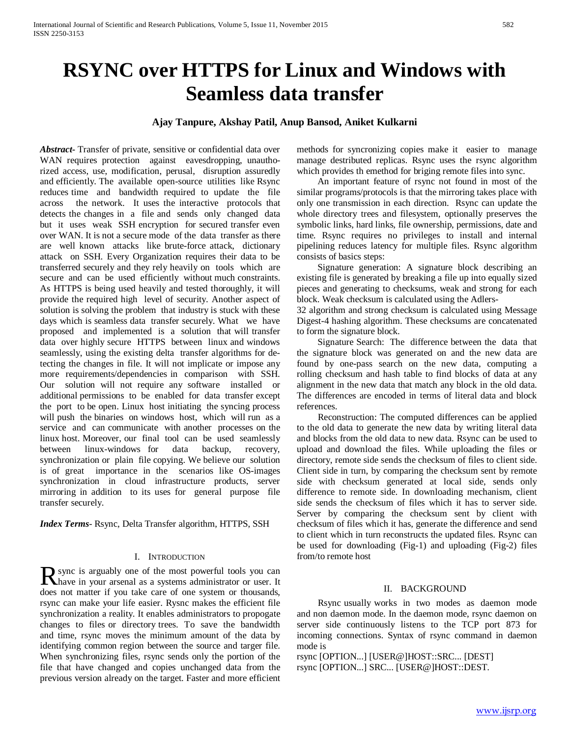# **RSYNC over HTTPS for Linux and Windows with Seamless data transfer**

## **Ajay Tanpure, Akshay Patil, Anup Bansod, Aniket Kulkarni**

*Abstract***-** Transfer of private, sensitive or confidential data over WAN requires protection against eavesdropping, unauthorized access, use, modification, perusal, disruption assuredly and efficiently. The available open-source utilities like Rsync reduces time and bandwidth required to update the file across the network. It uses the interactive protocols that detects the changes in a file and sends only changed data but it uses weak SSH encryption for secured transfer even over WAN. It is not a secure mode of the data transfer as there are well known attacks like brute-force attack, dictionary attack on SSH. Every Organization requires their data to be transferred securely and they rely heavily on tools which are secure and can be used efficiently without much constraints. As HTTPS is being used heavily and tested thoroughly, it will provide the required high level of security. Another aspect of solution is solving the problem that industry is stuck with these days which is seamless data transfer securely. What we have proposed and implemented is a solution that will transfer data over highly secure HTTPS between linux and windows seamlessly, using the existing delta transfer algorithms for detecting the changes in file. It will not implicate or impose any more requirements/dependencies in comparison with SSH. Our solution will not require any software installed or additional permissions to be enabled for data transfer except the port to be open. Linux host initiating the syncing process will push the binaries on windows host, which will run as a service and can communicate with another processes on the linux host. Moreover, our final tool can be used seamlessly between linux-windows for data backup, recovery, synchronization or plain file copying. We believe our solution is of great importance in the scenarios like OS-images synchronization in cloud infrastructure products, server mirroring in addition to its uses for general purpose file transfer securely.

*Index Terms*- Rsync, Delta Transfer algorithm, HTTPS, SSH

#### I. INTRODUCTION

sync is arguably one of the most powerful tools you can R sync is arguably one of the most powerful tools you can have in your arsenal as a systems administrator or user. It does not matter if you take care of one system or thousands, rsync can make your life easier. Rysnc makes the efficient file synchronization a reality. It enables administrators to propogate changes to files or directory trees. To save the bandwidth and time, rsync moves the minimum amount of the data by identifying common region between the source and targer file. When synchronizing files, rsync sends only the portion of the file that have changed and copies unchanged data from the previous version already on the target. Faster and more efficient

methods for syncronizing copies make it easier to manage manage destributed replicas. Rsync uses the rsync algorithm which provides th emethod for briging remote files into sync.

 An important feature of rsync not found in most of the similar programs/protocols is that the mirroring takes place with only one transmission in each direction. Rsync can update the whole directory trees and filesystem, optionally preserves the symbolic links, hard links, file ownership, permissions, date and time. Rsync requires no privileges to install and internal pipelining reduces latency for multiple files. Rsync algorithm consists of basics steps:

 Signature generation: A signature block describing an existing file is generated by breaking a file up into equally sized pieces and generating to checksums, weak and strong for each block. Weak checksum is calculated using the Adlers-

32 algorithm and strong checksum is calculated using Message Digest-4 hashing algorithm. These checksums are concatenated to form the signature block.

 Signature Search: The difference between the data that the signature block was generated on and the new data are found by one-pass search on the new data, computing a rolling checksum and hash table to find blocks of data at any alignment in the new data that match any block in the old data. The differences are encoded in terms of literal data and block references.

 Reconstruction: The computed differences can be applied to the old data to generate the new data by writing literal data and blocks from the old data to new data. Rsync can be used to upload and download the files. While uploading the files or directory, remote side sends the checksum of files to client side. Client side in turn, by comparing the checksum sent by remote side with checksum generated at local side, sends only difference to remote side. In downloading mechanism, client side sends the checksum of files which it has to server side. Server by comparing the checksum sent by client with checksum of files which it has, generate the difference and send to client which in turn reconstructs the updated files. Rsync can be used for downloading (Fig-1) and uploading (Fig-2) files from/to remote host

### II. BACKGROUND

 Rsync usually works in two modes as daemon mode and non daemon mode. In the daemon mode, rsync daemon on server side continuously listens to the TCP port 873 for incoming connections. Syntax of rsync command in daemon mode is

rsync [OPTION...] [USER@]HOST::SRC... [DEST] rsync [OPTION...] SRC... [USER@]HOST::DEST.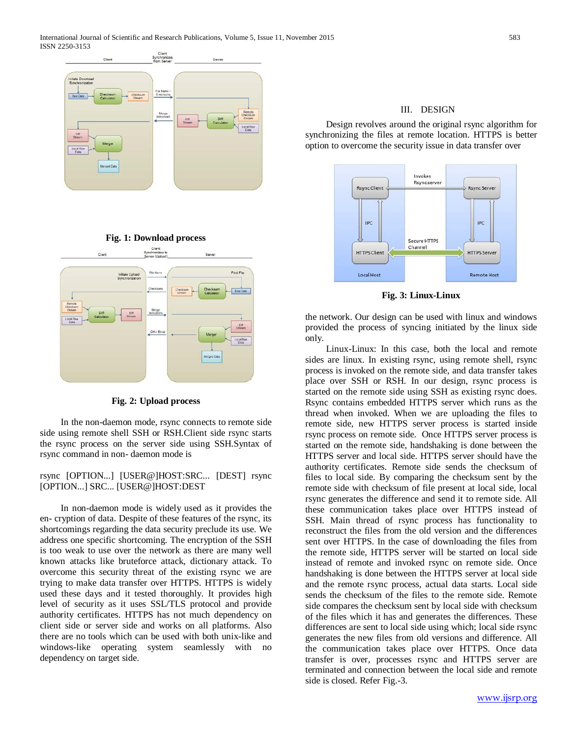

**Fig. 1: Download process**



**Fig. 2: Upload process**

 In the non-daemon mode, rsync connects to remote side side using remote shell SSH or RSH.Client side rsync starts the rsync process on the server side using SSH.Syntax of rsync command in non- daemon mode is

rsync [OPTION...] [USER@]HOST:SRC... [DEST] rsync [OPTION...] SRC... [USER@]HOST:DEST

 In non-daemon mode is widely used as it provides the en- cryption of data. Despite of these features of the rsync, its shortcomings regarding the data security preclude its use. We address one specific shortcoming. The encryption of the SSH is too weak to use over the network as there are many well known attacks like bruteforce attack, dictionary attack. To overcome this security threat of the existing rsync we are trying to make data transfer over HTTPS. HTTPS is widely used these days and it tested thoroughly. It provides high level of security as it uses SSL/TLS protocol and provide authority certificates. HTTPS has not much dependency on client side or server side and works on all platforms. Also there are no tools which can be used with both unix-like and windows-like operating system seamlessly with no dependency on target side.

## III. DESIGN

 Design revolves around the original rsync algorithm for synchronizing the files at remote location. HTTPS is better option to overcome the security issue in data transfer over



**Fig. 3: Linux-Linux**

the network. Our design can be used with linux and windows provided the process of syncing initiated by the linux side only.

 Linux-Linux: In this case, both the local and remote sides are linux. In existing rsync, using remote shell, rsync process is invoked on the remote side, and data transfer takes place over SSH or RSH. In our design, rsync process is started on the remote side using SSH as existing rsync does. Rsync contains embedded HTTPS server which runs as the thread when invoked. When we are uploading the files to remote side, new HTTPS server process is started inside rsync process on remote side. Once HTTPS server process is started on the remote side, handshaking is done between the HTTPS server and local side. HTTPS server should have the authority certificates. Remote side sends the checksum of files to local side. By comparing the checksum sent by the remote side with checksum of file present at local side, local rsync generates the difference and send it to remote side. All these communication takes place over HTTPS instead of SSH. Main thread of rsync process has functionality to reconstruct the files from the old version and the differences sent over HTTPS. In the case of downloading the files from the remote side, HTTPS server will be started on local side instead of remote and invoked rsync on remote side. Once handshaking is done between the HTTPS server at local side and the remote rsync process, actual data starts. Local side sends the checksum of the files to the remote side. Remote side compares the checksum sent by local side with checksum of the files which it has and generates the differences. These differences are sent to local side using which; local side rsync generates the new files from old versions and difference. All the communication takes place over HTTPS. Once data transfer is over, processes rsync and HTTPS server are terminated and connection between the local side and remote side is closed. Refer Fig.-3.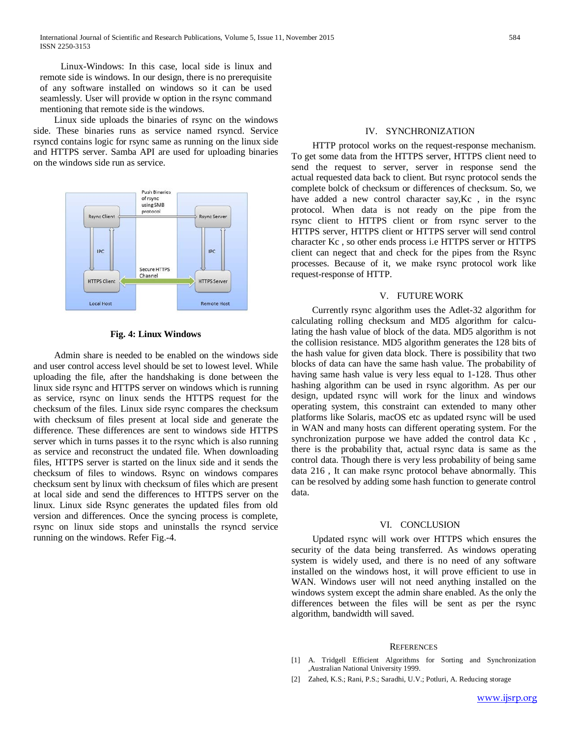Linux-Windows: In this case, local side is linux and remote side is windows. In our design, there is no prerequisite of any software installed on windows so it can be used seamlessly. User will provide w option in the rsync command mentioning that remote side is the windows.

 Linux side uploads the binaries of rsync on the windows side. These binaries runs as service named rsyncd. Service rsyncd contains logic for rsync same as running on the linux side and HTTPS server. Samba API are used for uploading binaries on the windows side run as service.



#### **Fig. 4: Linux Windows**

 Admin share is needed to be enabled on the windows side and user control access level should be set to lowest level. While uploading the file, after the handshaking is done between the linux side rsync and HTTPS server on windows which is running as service, rsync on linux sends the HTTPS request for the checksum of the files. Linux side rsync compares the checksum with checksum of files present at local side and generate the difference. These differences are sent to windows side HTTPS server which in turns passes it to the rsync which is also running as service and reconstruct the undated file. When downloading files, HTTPS server is started on the linux side and it sends the checksum of files to windows. Rsync on windows compares checksum sent by linux with checksum of files which are present at local side and send the differences to HTTPS server on the linux. Linux side Rsync generates the updated files from old version and differences. Once the syncing process is complete, rsync on linux side stops and uninstalls the rsyncd service running on the windows. Refer Fig.-4.

#### IV. SYNCHRONIZATION

 HTTP protocol works on the request-response mechanism. To get some data from the HTTPS server, HTTPS client need to send the request to server, server in response send the actual requested data back to client. But rsync protocol sends the complete bolck of checksum or differences of checksum. So, we have added a new control character say,Kc , in the rsync protocol. When data is not ready on the pipe from the rsync client to HTTPS client or from rsync server to the HTTPS server, HTTPS client or HTTPS server will send control character Kc , so other ends process i.e HTTPS server or HTTPS client can negect that and check for the pipes from the Rsync processes. Because of it, we make rsync protocol work like request-response of HTTP.

#### V. FUTURE WORK

 Currently rsync algorithm uses the Adlet-32 algorithm for calculating rolling checksum and MD5 algorithm for calculating the hash value of block of the data. MD5 algorithm is not the collision resistance. MD5 algorithm generates the 128 bits of the hash value for given data block. There is possibility that two blocks of data can have the same hash value. The probability of having same hash value is very less equal to 1-128. Thus other hashing algorithm can be used in rsync algorithm. As per our design, updated rsync will work for the linux and windows operating system, this constraint can extended to many other platforms like Solaris, macOS etc as updated rsync will be used in WAN and many hosts can different operating system. For the synchronization purpose we have added the control data Kc , there is the probability that, actual rsync data is same as the control data. Though there is very less probability of being same data 216 , It can make rsync protocol behave abnormally. This can be resolved by adding some hash function to generate control data.

## VI. CONCLUSION

 Updated rsync will work over HTTPS which ensures the security of the data being transferred. As windows operating system is widely used, and there is no need of any software installed on the windows host, it will prove efficient to use in WAN. Windows user will not need anything installed on the windows system except the admin share enabled. As the only the differences between the files will be sent as per the rsync algorithm, bandwidth will saved.

#### **REFERENCES**

- [1] A. Tridgell Efficient Algorithms for Sorting and Synchronization ,Australian National University 1999.
- [2] Zahed, K.S.; Rani, P.S.; Saradhi, U.V.; Potluri, A. Reducing storage